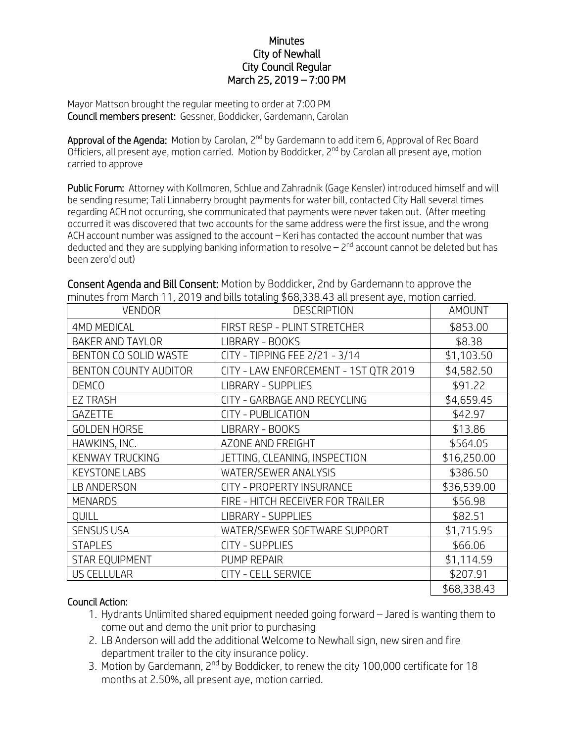## **Minutes** City of Newhall City Council Regular March 25, 2019 – 7:00 PM

Mayor Mattson brought the regular meeting to order at 7:00 PM Council members present: Gessner, Boddicker, Gardemann, Carolan

Approval of the Agenda: Motion by Carolan, 2<sup>nd</sup> by Gardemann to add item 6, Approval of Rec Board Officiers, all present aye, motion carried. Motion by Boddicker, 2<sup>nd</sup> by Carolan all present aye, motion carried to approve

Public Forum: Attorney with Kollmoren, Schlue and Zahradnik (Gage Kensler) introduced himself and will be sending resume; Tali Linnaberry brought payments for water bill, contacted City Hall several times regarding ACH not occurring, she communicated that payments were never taken out. (After meeting occurred it was discovered that two accounts for the same address were the first issue, and the wrong ACH account number was assigned to the account – Keri has contacted the account number that was deducted and they are supplying banking information to resolve  $-$  2 $^{\rm{nd}}$  account cannot be deleted but has been zero'd out)

| THINULES TI UTIT MALCHETT, ZU T 9 ANU DILIS LULAUNU P00,330.43 ALL PLESENL AVE, THULIUN CANTEU. |                                       |             |
|-------------------------------------------------------------------------------------------------|---------------------------------------|-------------|
| <b>VENDOR</b>                                                                                   | <b>DESCRIPTION</b>                    | AMOUNT      |
| <b>4MD MEDICAL</b>                                                                              | FIRST RESP - PLINT STRETCHER          | \$853.00    |
| <b>BAKER AND TAYLOR</b>                                                                         | LIBRARY - BOOKS                       | \$8.38      |
| BENTON CO SOLID WASTE                                                                           | CITY - TIPPING FEE 2/21 - 3/14        | \$1,103.50  |
| BENTON COUNTY AUDITOR                                                                           | CITY - LAW ENFORCEMENT - 1ST QTR 2019 | \$4,582.50  |
| <b>DEMCO</b>                                                                                    | <b>LIBRARY - SUPPLIES</b>             | \$91.22     |
| <b>EZ TRASH</b>                                                                                 | CITY - GARBAGE AND RECYCLING          | \$4,659.45  |
| <b>GAZETTE</b>                                                                                  | CITY - PUBLICATION                    | \$42.97     |
| <b>GOLDEN HORSE</b>                                                                             | LIBRARY - BOOKS                       | \$13.86     |
| HAWKINS, INC.                                                                                   | AZONE AND FREIGHT                     | \$564.05    |
| <b>KENWAY TRUCKING</b>                                                                          | JETTING, CLEANING, INSPECTION         | \$16,250.00 |
| <b>KEYSTONE LABS</b>                                                                            | WATER/SEWER ANALYSIS                  | \$386.50    |
| LB ANDERSON                                                                                     | CITY - PROPERTY INSURANCE             | \$36,539.00 |
| <b>MENARDS</b>                                                                                  | FIRE - HITCH RECEIVER FOR TRAILER     | \$56.98     |
| <b>QUILL</b>                                                                                    | <b>LIBRARY - SUPPLIES</b>             | \$82.51     |
| <b>SENSUS USA</b>                                                                               | WATER/SEWER SOFTWARE SUPPORT          | \$1,715.95  |
| <b>STAPLES</b>                                                                                  | <b>CITY - SUPPLIES</b>                | \$66.06     |
| <b>STAR EQUIPMENT</b>                                                                           | PUMP REPAIR                           | \$1,114.59  |
| <b>US CELLULAR</b>                                                                              | <b>CITY - CELL SERVICE</b>            | \$207.91    |
|                                                                                                 |                                       | \$68,338.43 |

Consent Agenda and Bill Consent: Motion by Boddicker, 2nd by Gardemann to approve the minutes from March 11, 2019 and bills totaling \$68,338.43 all present aye, motion carried.

## Council Action:

- 1. Hydrants Unlimited shared equipment needed going forward Jared is wanting them to come out and demo the unit prior to purchasing
- 2. LB Anderson will add the additional Welcome to Newhall sign, new siren and fire department trailer to the city insurance policy.
- 3. Motion by Gardemann, 2<sup>nd</sup> by Boddicker, to renew the city 100,000 certificate for 18 months at 2.50%, all present aye, motion carried.